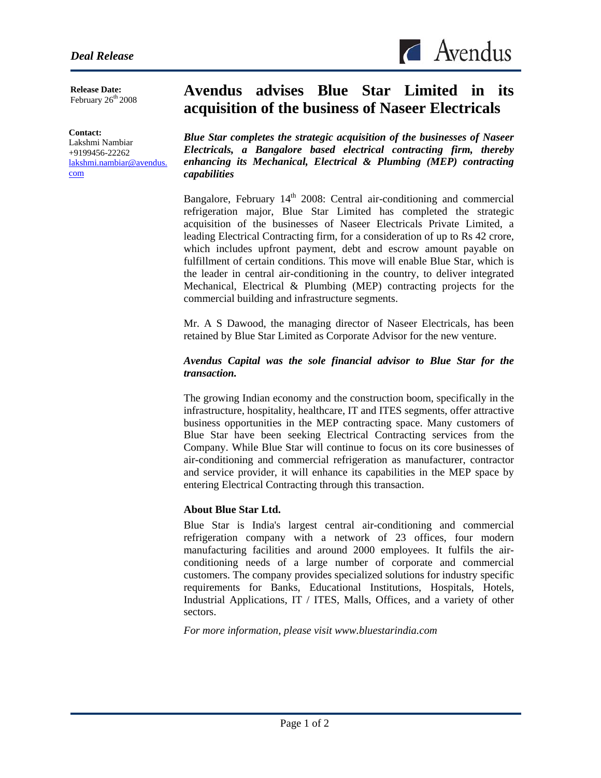

**Release Date:**  February  $26<sup>th</sup> 2008$ 

#### **Contact:**

l

Lakshmi Nambiar +9199456-22262 [lakshmi.nambiar@avendus.](mailto:lakshmi.nambiar@avendus.com) [com](mailto:lakshmi.nambiar@avendus.com) 

# **Avendus advises Blue Star Limited in its acquisition of the business of Naseer Electricals**

*Blue Star completes the strategic acquisition of the businesses of Naseer Electricals, a Bangalore based electrical contracting firm, thereby enhancing its Mechanical, Electrical & Plumbing (MEP) contracting capabilities* 

Bangalore, February  $14<sup>th</sup>$  2008: Central air-conditioning and commercial refrigeration major, Blue Star Limited has completed the strategic acquisition of the businesses of Naseer Electricals Private Limited, a leading Electrical Contracting firm, for a consideration of up to Rs 42 crore, which includes upfront payment, debt and escrow amount payable on fulfillment of certain conditions. This move will enable Blue Star, which is the leader in central air-conditioning in the country, to deliver integrated Mechanical, Electrical & Plumbing (MEP) contracting projects for the commercial building and infrastructure segments.

Mr. A S Dawood, the managing director of Naseer Electricals, has been retained by Blue Star Limited as Corporate Advisor for the new venture.

## *Avendus Capital was the sole financial advisor to Blue Star for the transaction.*

The growing Indian economy and the construction boom, specifically in the infrastructure, hospitality, healthcare, IT and ITES segments, offer attractive business opportunities in the MEP contracting space. Many customers of Blue Star have been seeking Electrical Contracting services from the Company. While Blue Star will continue to focus on its core businesses of air-conditioning and commercial refrigeration as manufacturer, contractor and service provider, it will enhance its capabilities in the MEP space by entering Electrical Contracting through this transaction.

# **About Blue Star Ltd.**

Blue Star is India's largest central air-conditioning and commercial refrigeration company with a network of 23 offices, four modern manufacturing facilities and around 2000 employees. It fulfils the airconditioning needs of a large number of corporate and commercial customers. The company provides specialized solutions for industry specific requirements for Banks, Educational Institutions, Hospitals, Hotels, Industrial Applications, IT / ITES, Malls, Offices, and a variety of other sectors.

*For more information, please visit www.bluestarindia.com*